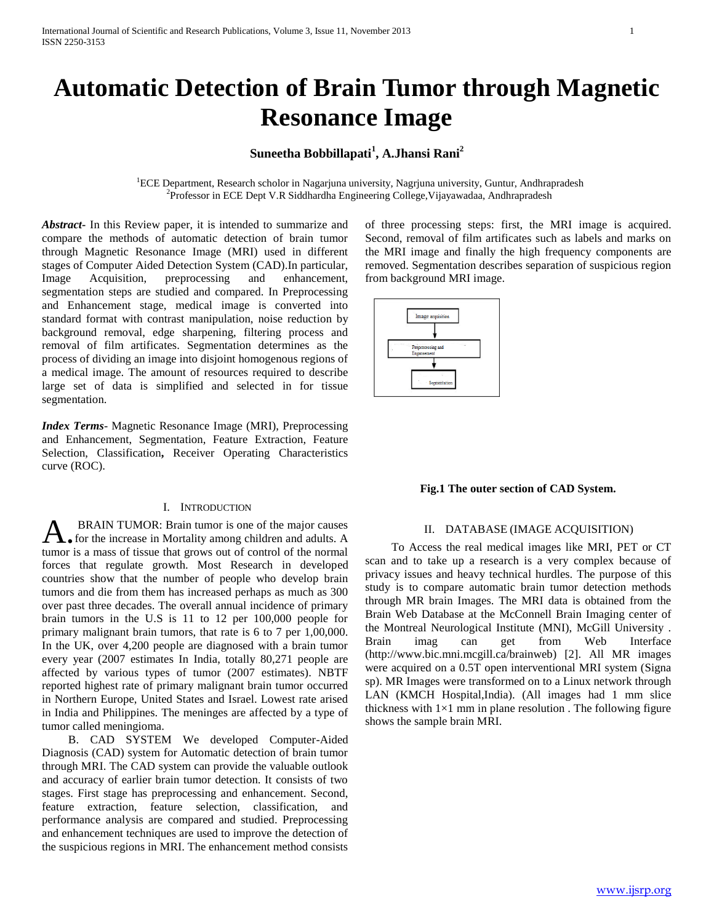# **Automatic Detection of Brain Tumor through Magnetic Resonance Image**

# **Suneetha Bobbillapati<sup>1</sup> , A.Jhansi Rani<sup>2</sup>**

<sup>1</sup>ECE Department, Research scholor in Nagarjuna university, Nagrjuna university, Guntur, Andhrapradesh <sup>2</sup>Professor in ECE Dept V.R Siddhardha Engineering College, Vijayawadaa, Andhrapradesh

*Abstract***-** In this Review paper, it is intended to summarize and compare the methods of automatic detection of brain tumor through Magnetic Resonance Image (MRI) used in different stages of Computer Aided Detection System (CAD).In particular, Image Acquisition, preprocessing and enhancement, segmentation steps are studied and compared. In Preprocessing and Enhancement stage, medical image is converted into standard format with contrast manipulation, noise reduction by background removal, edge sharpening, filtering process and removal of film artificates. Segmentation determines as the process of dividing an image into disjoint homogenous regions of a medical image. The amount of resources required to describe large set of data is simplified and selected in for tissue segmentation.

*Index Terms*- Magnetic Resonance Image (MRI), Preprocessing and Enhancement, Segmentation, Feature Extraction, Feature Selection, Classification**,** Receiver Operating Characteristics curve (ROC).

#### I. INTRODUCTION

BRAIN TUMOR: Brain tumor is one of the major causes for the increase in Mortality among children and adults. A **that is a mass of the increase in Mortality among children and adults. A tumor is a mass of tissue that grows out of control of the normal** forces that regulate growth. Most Research in developed countries show that the number of people who develop brain tumors and die from them has increased perhaps as much as 300 over past three decades. The overall annual incidence of primary brain tumors in the U.S is 11 to 12 per 100,000 people for primary malignant brain tumors, that rate is 6 to 7 per 1,00,000. In the UK, over 4,200 people are diagnosed with a brain tumor every year (2007 estimates In India, totally 80,271 people are affected by various types of tumor (2007 estimates). NBTF reported highest rate of primary malignant brain tumor occurred in Northern Europe, United States and Israel. Lowest rate arised in India and Philippines. The meninges are affected by a type of tumor called meningioma.

 B. CAD SYSTEM We developed Computer-Aided Diagnosis (CAD) system for Automatic detection of brain tumor through MRI. The CAD system can provide the valuable outlook and accuracy of earlier brain tumor detection. It consists of two stages. First stage has preprocessing and enhancement. Second, feature extraction, feature selection, classification, and performance analysis are compared and studied. Preprocessing and enhancement techniques are used to improve the detection of the suspicious regions in MRI. The enhancement method consists of three processing steps: first, the MRI image is acquired. Second, removal of film artificates such as labels and marks on the MRI image and finally the high frequency components are removed. Segmentation describes separation of suspicious region from background MRI image.



## **Fig.1 The outer section of CAD System.**

## II. DATABASE (IMAGE ACQUISITION)

 To Access the real medical images like MRI, PET or CT scan and to take up a research is a very complex because of privacy issues and heavy technical hurdles. The purpose of this study is to compare automatic brain tumor detection methods through MR brain Images. The MRI data is obtained from the Brain Web Database at the McConnell Brain Imaging center of the Montreal Neurological Institute (MNI), McGill University . Brain imag can get from Web Interface (http://www.bic.mni.mcgill.ca/brainweb) [2]. All MR images were acquired on a 0.5T open interventional MRI system (Signa sp). MR Images were transformed on to a Linux network through LAN (KMCH Hospital,India). (All images had 1 mm slice thickness with  $1\times1$  mm in plane resolution. The following figure shows the sample brain MRI.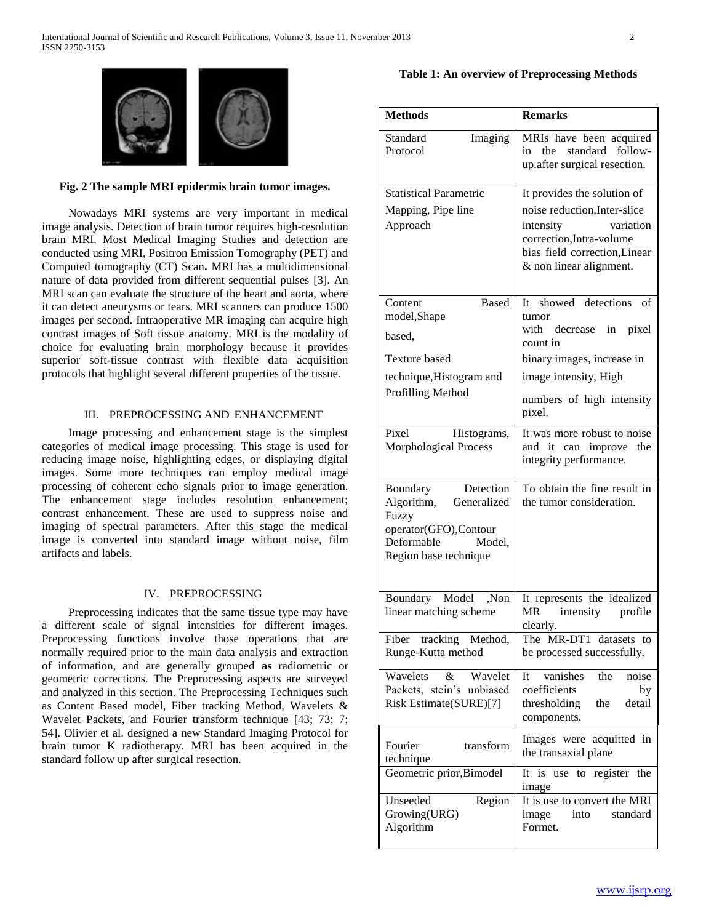

# **Fig. 2 The sample MRI epidermis brain tumor images.**

 Nowadays MRI systems are very important in medical image analysis. Detection of brain tumor requires high-resolution brain MRI. Most Medical Imaging Studies and detection are conducted using MRI, Positron Emission Tomography (PET) and Computed tomography (CT) Scan**.** MRI has a multidimensional nature of data provided from different sequential pulses [3]. An MRI scan can evaluate the structure of the heart and aorta, where it can detect aneurysms or tears. MRI scanners can produce 1500 images per second. Intraoperative MR imaging can acquire high contrast images of Soft tissue anatomy. MRI is the modality of choice for evaluating brain morphology because it provides superior soft-tissue contrast with flexible data acquisition protocols that highlight several different properties of the tissue.

#### III. PREPROCESSING AND ENHANCEMENT

 Image processing and enhancement stage is the simplest categories of medical image processing. This stage is used for reducing image noise, highlighting edges, or displaying digital images. Some more techniques can employ medical image processing of coherent echo signals prior to image generation. The enhancement stage includes resolution enhancement; contrast enhancement. These are used to suppress noise and imaging of spectral parameters. After this stage the medical image is converted into standard image without noise, film artifacts and labels.

#### IV. PREPROCESSING

 Preprocessing indicates that the same tissue type may have a different scale of signal intensities for different images. Preprocessing functions involve those operations that are normally required prior to the main data analysis and extraction of information, and are generally grouped **as** radiometric or geometric corrections. The Preprocessing aspects are surveyed and analyzed in this section. The Preprocessing Techniques such as Content Based model, Fiber tracking Method, Wavelets & Wavelet Packets, and Fourier transform technique [43; 73; 7; 54]. Olivier et al. designed a new Standard Imaging Protocol for brain tumor K radiotherapy. MRI has been acquired in the standard follow up after surgical resection.

# **Table 1: An overview of Preprocessing Methods**

| <b>Methods</b>                                                                                                                        | <b>Remarks</b>                                                                                                                                                                   |
|---------------------------------------------------------------------------------------------------------------------------------------|----------------------------------------------------------------------------------------------------------------------------------------------------------------------------------|
| Standard<br>Imaging<br>Protocol                                                                                                       | MRIs have been acquired<br>the standard follow-<br>in<br>up.after surgical resection.                                                                                            |
| <b>Statistical Parametric</b><br>Mapping, Pipe line<br>Approach                                                                       | It provides the solution of<br>noise reduction, Inter-slice<br>variation<br>intensity<br>correction, Intra-volume<br>bias field correction, Linear<br>& non linear alignment.    |
| <b>Based</b><br>Content<br>model, Shape<br>based,<br><b>Texture based</b><br>technique, Histogram and<br>Profilling Method            | It showed detections<br>of<br>tumor<br>with<br>decrease<br>pixel<br>in<br>count in<br>binary images, increase in<br>image intensity, High<br>numbers of high intensity<br>pixel. |
| Pixel<br>Histograms,<br>Morphological Process                                                                                         | It was more robust to noise<br>and it can improve<br>the<br>integrity performance.                                                                                               |
| Detection<br>Boundary<br>Algorithm,<br>Generalized<br>Fuzzy<br>operator(GFO),Contour<br>Deformable<br>Model,<br>Region base technique | To obtain the fine result in<br>the tumor consideration.                                                                                                                         |
| Boundary Model<br>Non,<br>linear matching scheme<br>tracking Method,<br>Fiber<br>Runge-Kutta method                                   | It represents the idealized<br>MR<br>intensity<br>profile<br>clearly.<br>The MR-DT1 datasets to<br>be processed successfully.                                                    |
| Wavelets<br>$\&$<br>Wavelet<br>Packets, stein's unbiased<br>Risk Estimate(SURE)[7]                                                    | vanishes<br>the<br>noise<br>It<br>coefficients<br>by<br>detail<br>thresholding<br>the<br>components.                                                                             |
| Fourier<br>transform<br>technique<br>Geometric prior, Bimodel                                                                         | Images were acquitted in<br>the transaxial plane<br>It is use to register the<br>image                                                                                           |
| Unseeded<br>Region<br>Growing(URG)<br>Algorithm                                                                                       | It is use to convert the MRI<br>into standard<br>image<br>Formet.                                                                                                                |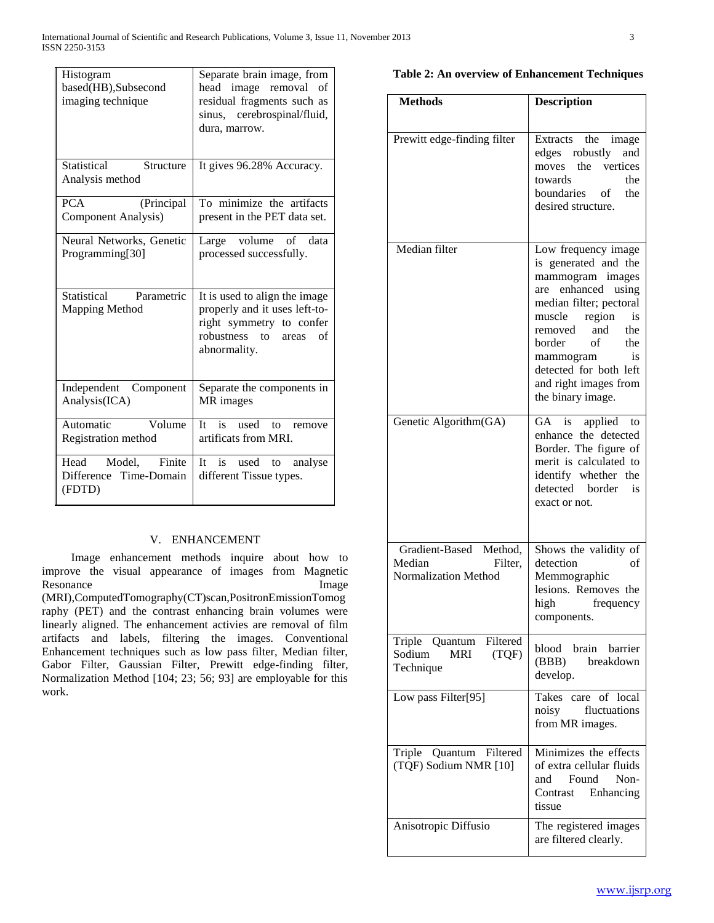| Histogram<br>based(HB), Subsecond<br>imaging technique | Separate brain image, from<br>image removal<br>head<br>of<br>residual fragments such as<br>sinus, cerebrospinal/fluid,<br>dura, marrow.                  |
|--------------------------------------------------------|----------------------------------------------------------------------------------------------------------------------------------------------------------|
| Statistical<br>Structure<br>Analysis method            | It gives 96.28% Accuracy.                                                                                                                                |
| <b>PCA</b><br>(Principal<br>Component Analysis)        | To minimize the artifacts<br>present in the PET data set.                                                                                                |
| Neural Networks, Genetic<br>Programming[30]            | volume<br>Large<br>of data<br>processed successfully.                                                                                                    |
| Statistical Parametric<br><b>Mapping Method</b>        | It is used to align the image<br>properly and it uses left-to-<br>right symmetry to confer<br>robustness<br>$\mathsf{to}$<br>of<br>areas<br>abnormality. |
| Independent Component<br>Analysis(ICA)                 | Separate the components in<br>MR images                                                                                                                  |
| Automatic<br>Volume<br>Registration method             | is used to remove<br>$It -$<br>artificats from MRI.                                                                                                      |
|                                                        |                                                                                                                                                          |

# V. ENHANCEMENT

 Image enhancement methods inquire about how to improve the visual appearance of images from Magnetic Resonance Image (MRI),ComputedTomography(CT)scan,PositronEmissionTomog raphy (PET) and the contrast enhancing brain volumes were linearly aligned. The enhancement activies are removal of film artifacts and labels, filtering the images. Conventional Enhancement techniques such as low pass filter, Median filter, Gabor Filter, Gaussian Filter, Prewitt edge-finding filter, Normalization Method [104; 23; 56; 93] are employable for this work.

# **Table 2: An overview of Enhancement Techniques**

| <b>Methods</b>                                                                | <b>Description</b>                                                                                                                                                                                                                                                                    |
|-------------------------------------------------------------------------------|---------------------------------------------------------------------------------------------------------------------------------------------------------------------------------------------------------------------------------------------------------------------------------------|
| Prewitt edge-finding filter                                                   | Extracts the<br>image<br>edges robustly<br>and<br>moves the vertices<br>the<br>towards<br>boundaries of<br>the<br>desired structure.                                                                                                                                                  |
| Median filter                                                                 | Low frequency image<br>is generated and the<br>mammogram images<br>are enhanced using<br>median filter; pectoral<br>muscle<br>region<br>is<br>the<br>removed<br>and<br>of<br>border<br>the<br>mammogram<br>is<br>detected for both left<br>and right images from<br>the binary image. |
| Genetic Algorithm(GA)                                                         | is<br>applied to<br>GA<br>enhance the detected<br>Border. The figure of<br>merit is calculated to<br>identify whether the<br>detected border<br>is<br>exact or not.                                                                                                                   |
| Gradient-Based<br>Method,<br>Median<br>Filter,<br><b>Normalization Method</b> | Shows the validity of<br>detection<br>of<br>Memmographic<br>lesions. Removes the<br>high<br>frequency<br>components.                                                                                                                                                                  |
| Filtered<br>Triple<br>Quantum<br>Sodium<br><b>MRI</b><br>(TQF)<br>Technique   | blood brain barrier<br>(BBB)<br>breakdown<br>develop.                                                                                                                                                                                                                                 |
| Low pass Filter[95]                                                           | care of local<br>Takes<br>fluctuations<br>noisy<br>from MR images.                                                                                                                                                                                                                    |
| Quantum Filtered<br>Triple<br>(TQF) Sodium NMR [10]                           | Minimizes the effects<br>of extra cellular fluids<br>Found<br>and<br>Non-<br>Contrast<br>Enhancing<br>tissue                                                                                                                                                                          |
| Anisotropic Diffusio                                                          | The registered images<br>are filtered clearly.                                                                                                                                                                                                                                        |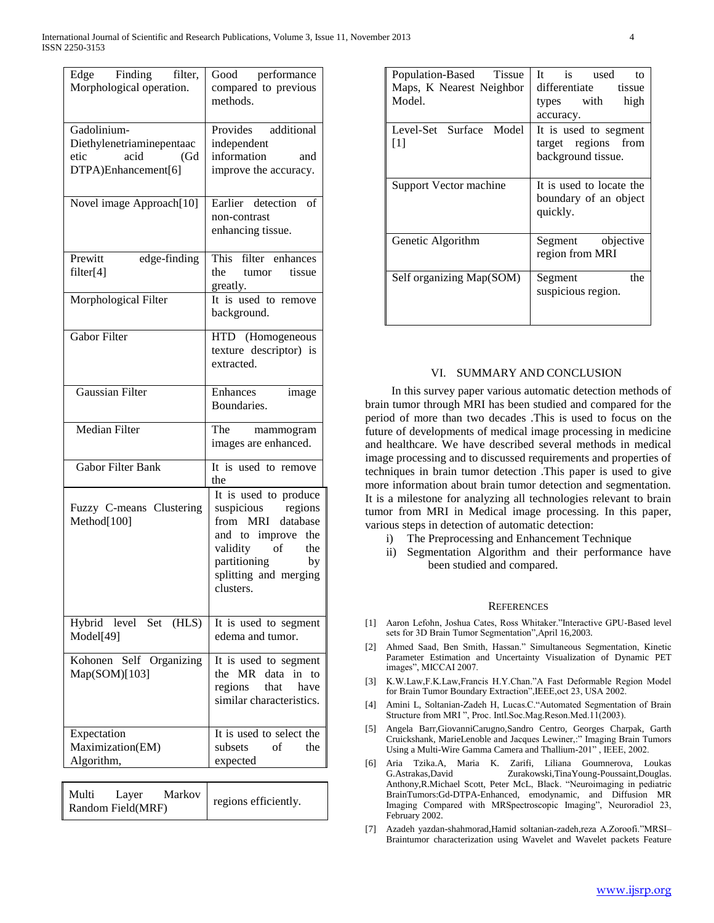| Edge Finding filter,<br>Morphological operation.                                       | Good performance<br>compared to previous<br>methods.                                                                                                               |
|----------------------------------------------------------------------------------------|--------------------------------------------------------------------------------------------------------------------------------------------------------------------|
| Gadolinium-<br>Diethylenetriaminepentaac<br>acid<br>etic<br>(Gd<br>DTPA)Enhancement[6] | Provides additional<br>independent<br>information<br>and<br>improve the accuracy.                                                                                  |
| Novel image Approach[10]                                                               | Earlier detection of<br>non-contrast<br>enhancing tissue.                                                                                                          |
| Prewitt<br>edge-finding<br>filter[4]                                                   | This filter enhances<br>the tumor tissue<br>greatly.<br>It is used to remove                                                                                       |
| Morphological Filter                                                                   | background.                                                                                                                                                        |
| <b>Gabor Filter</b>                                                                    | HTD (Homogeneous<br>texture descriptor) is<br>extracted.                                                                                                           |
| <b>Gaussian Filter</b>                                                                 | Enhances<br>image<br>Boundaries.                                                                                                                                   |
| <b>Median Filter</b>                                                                   | The mammogram<br>images are enhanced.                                                                                                                              |
| <b>Gabor Filter Bank</b>                                                               | It is used to remove<br>the                                                                                                                                        |
| Fuzzy C-means Clustering<br>Method[100]                                                | It is used to produce<br>suspicious regions<br>from MRI database<br>and to improve the<br>validity of the<br>partitioning by<br>splitting and merging<br>clusters. |
| Hybrid level Set (HLS)<br>Model[49]                                                    | It is used to segment<br>edema and tumor.                                                                                                                          |
| Kohonen Self Organizing<br>Map(SOM)[103]                                               | It is used to segment<br>the MR data<br>in<br>to<br>regions<br>that<br>have<br>similar characteristics.                                                            |
| Expectation<br>Maximization(EM)<br>Algorithm,                                          | It is used to select the<br>subsets<br>of<br>the<br>expected                                                                                                       |

| Multi             | Layer | Markov | regions efficiently. |
|-------------------|-------|--------|----------------------|
| Random Field(MRF) |       |        |                      |

| Population-Based Tissue<br>Maps, K Nearest Neighbor<br>Model. | It is used<br>tο<br>differentiate tissue<br>high<br>types with<br>accuracy. |
|---------------------------------------------------------------|-----------------------------------------------------------------------------|
| Level-Set Surface Model<br>$\lceil 1 \rceil$                  | It is used to segment<br>target regions from<br>background tissue.          |
| Support Vector machine                                        | It is used to locate the<br>boundary of an object<br>quickly.               |
| Genetic Algorithm                                             | Segment objective<br>region from MRI                                        |
| Self organizing Map(SOM)                                      | the<br>Segment<br>suspicious region.                                        |

# VI. SUMMARY AND CONCLUSION

 In this survey paper various automatic detection methods of brain tumor through MRI has been studied and compared for the period of more than two decades .This is used to focus on the future of developments of medical image processing in medicine and healthcare. We have described several methods in medical image processing and to discussed requirements and properties of techniques in brain tumor detection .This paper is used to give more information about brain tumor detection and segmentation. It is a milestone for analyzing all technologies relevant to brain tumor from MRI in Medical image processing. In this paper, various steps in detection of automatic detection:

- i) The Preprocessing and Enhancement Technique
- ii) Segmentation Algorithm and their performance have been studied and compared.

#### **REFERENCES**

- [1] Aaron Lefohn, Joshua Cates, Ross Whitaker."Interactive GPU-Based level sets for 3D Brain Tumor Segmentation",April 16,2003.
- [2] Ahmed Saad, Ben Smith, Hassan." Simultaneous Segmentation, Kinetic Parameter Estimation and Uncertainty Visualization of Dynamic PET images", MICCAI 2007.
- [3] K.W.Law,F.K.Law,Francis H.Y.Chan."A Fast Deformable Region Model for Brain Tumor Boundary Extraction",IEEE,oct 23, USA 2002.
- [4] Amini L, Soltanian-Zadeh H, Lucas.C."Automated Segmentation of Brain Structure from MRI ", Proc. Intl.Soc.Mag.Reson.Med.11(2003).
- [5] Angela Barr,GiovanniCarugno,Sandro Centro, Georges Charpak, Garth Cruickshank, MarieLenoble and Jacques Lewiner,:" Imaging Brain Tumors Using a Multi-Wire Gamma Camera and Thallium-201" , IEEE, 2002.
- [6] Aria Tzika.A, Maria K. Zarifi, Liliana Goumnerova, Loukas G.Astrakas,David Zurakowski,TinaYoung-Poussaint,Douglas. Anthony,R.Michael Scott, Peter McL, Black. "Neuroimaging in pediatric BrainTumors:Gd-DTPA-Enhanced, emodynamic, and Diffusion MR Imaging Compared with MRSpectroscopic Imaging", Neuroradiol 23, February 2002.
- [7] Azadeh yazdan-shahmorad,Hamid soltanian-zadeh,reza A.Zoroofi."MRSI– Braintumor characterization using Wavelet and Wavelet packets Feature